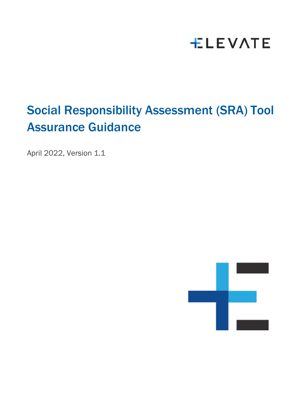# **ELEVATE**

# Social Responsibility Assessment (SRA) Tool Assurance Guidance

April 2022, Version 1.1

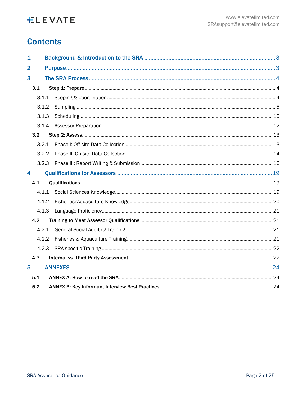# **Contents**

| 1              |       |  |  |  |
|----------------|-------|--|--|--|
| $\overline{2}$ |       |  |  |  |
| 3              |       |  |  |  |
| 3.1            |       |  |  |  |
|                | 3.1.1 |  |  |  |
| 3.1.2          |       |  |  |  |
| 3.1.3          |       |  |  |  |
|                |       |  |  |  |
| 3.2            |       |  |  |  |
| 3.2.1          |       |  |  |  |
| 3.2.2          |       |  |  |  |
| 3.2.3          |       |  |  |  |
| 4              |       |  |  |  |
| 4.1            |       |  |  |  |
|                | 4.1.1 |  |  |  |
| 4.1.2          |       |  |  |  |
| 4.1.3          |       |  |  |  |
| 4.2            |       |  |  |  |
| 4.2.1          |       |  |  |  |
| 4.2.2          |       |  |  |  |
|                | 4.2.3 |  |  |  |
| 4.3            |       |  |  |  |
| 5              |       |  |  |  |
| 5.1            |       |  |  |  |
| 5.2            |       |  |  |  |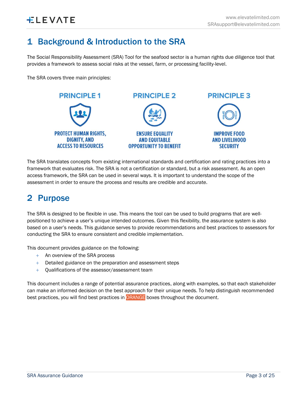# <span id="page-2-0"></span>1 Background & Introduction to the SRA

The Social Responsibility Assessment (SRA) Tool for the seafood sector is a human rights due diligence tool that provides a framework to assess social risks at the vessel, farm, or processing facility-level.

The SRA covers three main principles:



The SRA translates concepts from existing international standards and certification and rating practices into a framework that evaluates risk. The SRA is not a certification or standard, but a risk assessment. As an open access framework, the SRA can be used in several ways. It is important to understand the scope of the assessment in order to ensure the process and results are credible and accurate.

# <span id="page-2-1"></span>2 Purpose

The SRA is designed to be flexible in use. This means the tool can be used to build programs that are wellpositioned to achieve a user's unique intended outcomes. Given this flexibility, the assurance system is also based on a user's needs. This guidance serves to provide recommendations and best practices to assessors for conducting the SRA to ensure consistent and credible implementation.

This document provides guidance on the following:

- + An overview of the SRA process
- + Detailed guidance on the preparation and assessment steps
- + Qualifications of the assessor/assessment team

This document includes a range of potential assurance practices, along with examples, so that each stakeholder can make an informed decision on the best approach for their unique needs. To help distinguish recommended best practices, you will find best practices in ORANGE boxes throughout the document.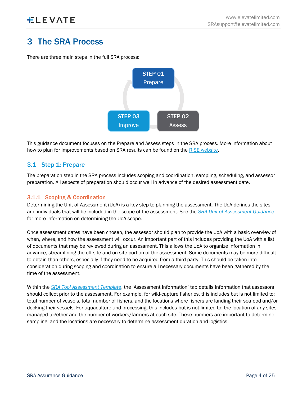# <span id="page-3-0"></span>3 The SRA Process

There are three main steps in the full SRA process:



This guidance document focuses on the Prepare and Assess steps in the SRA process. More information about how to plan for improvements based on SRA results can be found on the [RISE website.](https://riseseafood.org/topics/actioning-the-monterey-framework/)

# <span id="page-3-1"></span>3.1 Step 1: Prepare

The preparation step in the SRA process includes scoping and coordination, sampling, scheduling, and assessor preparation. All aspects of preparation should occur well in advance of the desired assessment date.

# <span id="page-3-2"></span>3.1.1 Scoping & Coordination

Determining the Unit of Assessment (UoA) is a key step to planning the assessment. The UoA defines the sites and individuals that will be included in the scope of the assessment. See the *[SRA Unit of Assessment Guidance](https://media.riseseafood.org/resources/Social_Responsibility_Assessment_Tool_Unit_of_Assessment_Guidance.pdf)* for more information on determining the UoA scope.

Once assessment dates have been chosen, the assessor should plan to provide the UoA with a basic overview of when, where, and how the assessment will occur. An important part of this includes providing the UoA with a list of documents that may be reviewed during an assessment. This allows the UoA to organize information in advance, streamlining the off-site and on-site portion of the assessment. Some documents may be more difficult to obtain than others, especially if they need to be acquired from a third party. This should be taken into consideration during scoping and coordination to ensure all necessary documents have been gathered by the time of the assessment.

Within the *[SRA Tool Assessment Template](https://apc01.safelinks.protection.outlook.com/?url=https%3A%2F%2Fmedia.riseseafood.org%2Fresources%2FELEVATE_SRA_AssessmentTemplate_Feb22_Updated.xlsm&data=04%7C01%7Cemilie.carroll%40elevatelimited.com%7Cbf0a8b688a28444cede008da0230864a%7C177c71f3fd334b28891a786a086e97b5%7C0%7C0%7C637824708027401541%7CUnknown%7CTWFpbGZsb3d8eyJWIjoiMC4wLjAwMDAiLCJQIjoiV2luMzIiLCJBTiI6Ik1haWwiLCJXVCI6Mn0%3D%7C3000&sdata=O%2BTVSTQX9uCVOAXQ7vhOh6q%2BjU58rhTT6NjnNYH2FdM%3D&reserved=0)*, the 'Assessment Information' tab details information that assessors should collect prior to the assessment. For example, for wild-capture fisheries, this includes but is not limited to: total number of vessels, total number of fishers, and the locations where fishers are landing their seafood and/or docking their vessels. For aquaculture and processing, this includes but is not limited to: the location of any sites managed together and the number of workers/farmers at each site. These numbers are important to determine sampling, and the locations are necessary to determine assessment duration and logistics.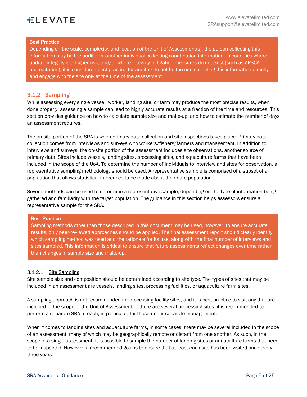#### Best Practice

Depending on the scale, complexity, and location of the Unit of Assessment(s), the person collecting this information may be the auditor or another individual collecting coordination information. In countries where auditor integrity is a higher risk, and/or where integrity mitigation measures do not exist (such as APSCA accreditation), it is considered best practice for auditors to not be the one collecting this information directly and engage with the site only at the time of the assessment.

#### <span id="page-4-0"></span>3.1.2 Sampling

While assessing every single vessel, worker, landing site, or farm may produce the most precise results, when done properly, assessing a sample can lead to highly accurate results at a fraction of the time and resources. This section provides guidance on how to calculate sample size and make-up, and how to estimate the number of days an assessment requires.

The on-site portion of the SRA is when primary data collection and site inspections takes place. Primary data collection comes from interviews and surveys with workers/fishers/farmers and management. In addition to interviews and surveys, the on-site portion of the assessment includes site observations, another source of primary data. Sites include vessels, landing sites, processing sites, and aquaculture farms that have been included in the scope of the UoA. To determine the number of individuals to interview and sites for observation, a representative sampling methodology should be used. A representative sample is comprised of a subset of a population that allows statistical inferences to be made about the entire population.

Several methods can be used to determine a representative sample, depending on the type of information being gathered and familiarity with the target population. The guidance in this section helps assessors ensure a representative sample for the SRA.

#### Best Practice

Sampling methods other than those described in this document may be used, however, to ensure accurate results, only peer-reviewed approaches should be applied. The final assessment report should clearly identify which sampling method was used and the rationale for its use, along with the final number of interviews and sites sampled. This information is critical to ensure that future assessments reflect changes over time rather than changes in sample size and make-up.

#### 3.1.2.1 Site Sampling

Site sample size and composition should be determined according to site type. The types of sites that may be included in an assessment are vessels, landing sites, processing facilities, or aquaculture farm sites.

A sampling approach is not recommended for processing facility sites, and it is best practice to visit any that are included in the scope of the Unit of Assessment. If there are several processing sites, it is recommended to perform a separate SRA at each, in particular, for those under separate management.

When it comes to landing sites and aquaculture farms, in some cases, there may be several included in the scope of an assessment, many of which may be geographically remote or distant from one another. As such, in the scope of a single assessment, it is possible to sample the number of landing sites or aquaculture farms that need to be inspected. However, a recommended goal is to ensure that at least each site has been visited once every three years.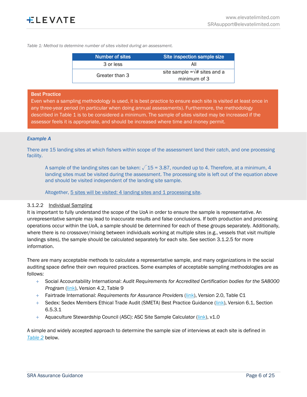*Table 1: Method to determine number of sites visited during an assessment.*

| Number of sites | Site inspection sample size                                    |
|-----------------|----------------------------------------------------------------|
| 3 or less       | All                                                            |
| Greater than 3  | site sample = $\sqrt{\frac{4}{5}}$ sites and a<br>minimum of 3 |

#### Best Practice

Even when a sampling methodology is used, it is best practice to ensure each site is visited at least once in any three-year period (in particular when doing annual assessments). Furthermore, the methodology described in Table 1 is to be considered a minimum. The sample of sites visited may be increased if the assessor feels it is appropriate, and should be increased where time and money permit.

#### *Example A*

There are 15 landing sites at which fishers within scope of the assessment land their catch, and one processing facility.

A sample of the landing sites can be taken:  $\sqrt{15}$  = 3.87, rounded up to 4. Therefore, at a minimum, 4 landing sites must be visited during the assessment. The processing site is left out of the equation above and should be visited independent of the landing site sample.

Altogether, 5 sites will be visited: 4 landing sites and 1 processing site.

#### 3.1.2.2 Individual Sampling

It is important to fully understand the scope of the UoA in order to ensure the sample is representative. An unrepresentative sample may lead to inaccurate results and false conclusions. If both production and processing operations occur within the UoA, a sample should be determined for each of these groups separately. Additionally, where there is no crossover/mixing between individuals working at multiple sites (e.g., vessels that visit multiple landings sites), the sample should be calculated separately for each site. See section 3.1.2.5 for more information.

There are many acceptable methods to calculate a representative sample, and many organizations in the social auditing space define their own required practices. Some examples of acceptable sampling methodologies are as follows:

- + Social Accountability International: *Audit Requirements for Accredited Certification bodies for the SA8000 Program* [\(link\)](https://sa-intl.org/wp-content/uploads/2021/10/SAAS_Procedure_200_v-4.2_March.2020.pdf), Version 4.2, Table 9
- + Fairtrade International: *Requirements for Assurance Provide*rs [\(link\)](https://files.fairtrade.net/standards/ASSU_ReqAssuranceProviders_EN.pdf), Version 2.0, Table C1
- + Sedex: Sedex Members Ethical Trade Audit (SMETA) Best Practice Guidance [\(link\)](https://www.sedex.com/wp-content/uploads/2019/05/SMETA-6.1-Best-Practice-Guidance.pdf), Version 6.1, Section 6.5.3.1
- Aquaculture Stewardship Council (ASC): ASC Site Sample Calculator [\(link\)](https://www.asc-aqua.org/wp-content/uploads/2018/06/ASC-multi-site-sample-size-combined-calculator.xlsx), v1.0

A simple and widely accepted approach to determine the sample size of interviews at each site is defined in *[Table 2](#page-6-0)* below.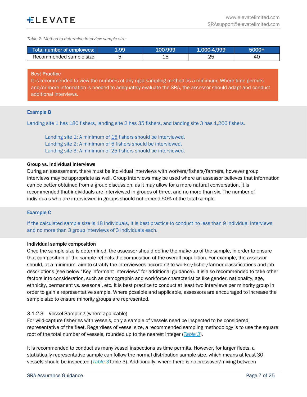<span id="page-6-0"></span>*Table 2: Method to determine interview sample size.*

| Total number of employees: | 1-99/ | 100-999 | 1,000-4,999 | 5000+ |
|----------------------------|-------|---------|-------------|-------|
| Recommended sample size    |       |         | ∠⊾          | 4С    |

#### Best Practice

It is recommended to view the numbers of any rigid sampling method as a minimum. Where time permits and/or more information is needed to adequately evaluate the SRA, the assessor should adapt and conduct additional interviews.

#### <span id="page-6-1"></span>Example B

Landing site 1 has 180 fishers, landing site 2 has 35 fishers, and landing site 3 has 1,200 fishers.

Landing site 1: A minimum of 15 fishers should be interviewed. Landing site 2: A minimum of 5 fishers should be interviewed. Landing site 3: A minimum of 25 fishers should be interviewed.

#### Group vs. Individual Interviews

During an assessment, there must be individual interviews with workers/fishers/farmers, however group interviews may be appropriate as well. Group interviews may be used where an assessor believes that information can be better obtained from a group discussion, as it may allow for a more natural conversation. It is recommended that individuals are interviewed in groups of three, and no more than six. The number of individuals who are interviewed in groups should not exceed 50% of the total sample.

#### Example C

If the calculated sample size is 18 individuals, it is best practice to conduct no less than 9 individual interviews and no more than 3 group interviews of 3 individuals each.

#### Individual sample composition

Once the sample size is determined, the assessor should define the make-up of the sample, in order to ensure that composition of the sample reflects the composition of the overall population. For example, the assessor should, at a minimum, aim to stratify the interviewees according to worker/fisher/farmer classifications and job descriptions (see below "Key Informant Interviews" for additional guidance). It is also recommended to take other factors into consideration, such as demographic and workforce characteristics like gender, nationality, age, ethnicity, permanent vs. seasonal, etc. It is best practice to conduct at least two interviews per minority group in order to gain a representative sample. Where possible and applicable, assessors are encouraged to increase the sample size to ensure minority groups are represented.

#### 3.1.2.3 Vessel Sampling (where applicable)

For wild-capture fisheries with vessels, only a sample of vessels need be inspected to be considered representative of the fleet. Regardless of vessel size, a recommended sampling methodology is to use the square root of the total number of vessels, rounded up to the nearest integer (*[Table 3](#page-7-0)*).

It is recommended to conduct as many vessel inspections as time permits. However, for larger fleets, a statistically representative sample can follow the normal distribution sample size, which means at least 30 vessels should be inspected (*[Table 3](#page-7-0)*[Table 3\)](#page-7-0). Additionally, where there is no crossover/mixing between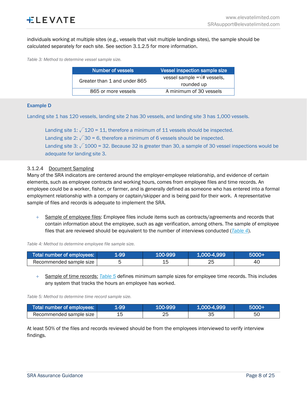individuals working at multiple sites (e.g., vessels that visit multiple landings sites), the sample should be calculated separately for each site. See section 3.1.2.5 for more information.

<span id="page-7-0"></span>*Table 3: Method to determine vessel sample size.*

| Number of vessels            | Vessel inspection sample size                |  |  |
|------------------------------|----------------------------------------------|--|--|
| Greater than 1 and under 865 | vessel sample = $\sqrt{\textit{#}}$ vessels, |  |  |
|                              | rounded up                                   |  |  |
| 865 or more vessels          | A minimum of 30 vessels                      |  |  |

#### <span id="page-7-3"></span>Example D

Landing site 1 has 120 vessels, landing site 2 has 30 vessels, and landing site 3 has 1,000 vessels.

Landing site 1:  $\sqrt{120} = 11$ , therefore a minimum of 11 vessels should be inspected. Landing site 2:  $\sqrt{30}$  = 6, therefore a minimum of 6 vessels should be inspected. Landing site 3:  $\sqrt{1000}$  = 32. Because 32 is greater than 30, a sample of 30 vessel inspections would be adequate for landing site 3.

#### 3.1.2.4 Document Sampling

Many of the SRA indicators are centered around the employer-employee relationship, and evidence of certain elements, such as employee contracts and working hours, comes from employee files and time records. An employee could be a worker, fisher, or farmer, and is generally defined as someone who has entered into a formal employment relationship with a company or captain/skipper and is being paid for their work. A representative sample of files and records is adequate to implement the SRA.

+ Sample of employee files: Employee files include items such as contracts/agreements and records that contain information about the employee, such as age verification, among others. The sample of employee files that are reviewed should be equivalent to the number of interviews conducted (*[Table 4](#page-7-1)*).

<span id="page-7-1"></span>*Table 4: Method to determine employee file sample size.*

| Total number of employees: | <b>L-99</b> | 100-999 | 1.000-4.999' | 6000+ |
|----------------------------|-------------|---------|--------------|-------|
| Recommended sample size    |             | ∸       | つに<br>∠∼     | 40    |

+ Sample of time records: *[Table 5](#page-7-2)* defines minimum sample sizes for employee time records. This includes any system that tracks the hours an employee has worked.

<span id="page-7-2"></span>*Table 5: Method to determine time record sample size.*

| Total number of employees: | 1-99 | 100-9991 | 1,000-4,999 | 5000+ |
|----------------------------|------|----------|-------------|-------|
| Recommended sample size    |      | つに       |             | 50    |

At least 50% of the files and records reviewed should be from the employees interviewed to verify interview findings.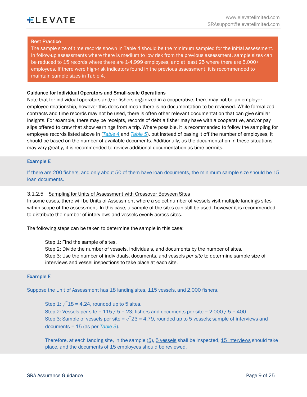#### Best Practice

The sample size of time records shown in Table 4 should be the minimum sampled for the initial assessment. In follow-up assessments where there is medium to low risk from the previous assessment, sample sizes can be reduced to 15 records where there are 1-4,999 employees, and at least 25 where there are 5,000+ employees. If there were high-risk indicators found in the previous assessment, it is recommended to maintain sample sizes in Table 4.

#### Guidance for Individual Operators and Small-scale Operations

Note that for individual operators and/or fishers organized in a cooperative, there may not be an employeremployee relationship, however this does not mean there is no documentation to be reviewed. While formalized contracts and time records may not be used, there is often other relevant documentation that can give similar insights. For example, there may be receipts, records of debt a fisher may have with a cooperative, and/or pay slips offered to crew that show earnings from a trip. Where possible, it is recommended to follow the sampling for employee records listed above in (*[Table 4](#page-7-1)* and *[Table 5](#page-7-2)*), but instead of basing it off the number of employees, it should be based on the number of available documents. Additionally, as the documentation in these situations may vary greatly, it is recommended to review additional documentation as time permits.

#### Example E

If there are 200 fishers, and only about 50 of them have loan documents, the minimum sample size should be 15 loan documents.

#### 3.1.2.5 Sampling for Units of Assessment with Crossover Between Sites

In some cases, there will be Units of Assessment where a select number of vessels visit multiple landings sites within scope of the assessment. In this case, a sample of the sites can still be used, however it is recommended to distribute the number of interviews and vessels evenly across sites.

The following steps can be taken to determine the sample in this case:

Step 1: Find the sample of sites.

Step 2: Divide the number of vessels, individuals, and documents by the number of sites. Step 3: Use the number of individuals, documents, and vessels *per site* to determine sample size of interviews and vessel inspections to take place at each site.

#### Example E

Suppose the Unit of Assessment has 18 landing sites, 115 vessels, and 2,000 fishers.

Step 1:  $\sqrt{18}$  = 4.24, rounded up to 5 sites. Step 2: Vessels per site =  $115 / 5 = 23$ ; fishers and documents per site =  $2,000 / 5 = 400$ Step 3: Sample of vessels per site =  $\sqrt{23}$  = 4.79, rounded up to 5 vessels; sample of interviews and documents = 15 (as per *[Table 3](#page-7-0)*).

Therefore, at each landing site, in the sample (5), 5 vessels shall be inspected, 15 interviews should take place, and the documents of 15 employees should be reviewed.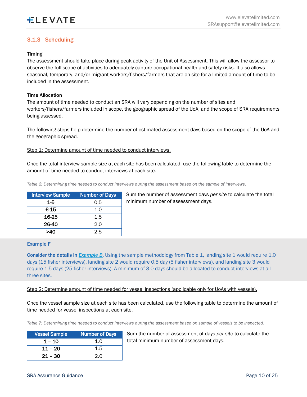# <span id="page-9-0"></span>3.1.3 Scheduling

### Timing

The assessment should take place during peak activity of the Unit of Assessment. This will allow the assessor to observe the full scope of activities to adequately capture occupational health and safety risks. It also allows seasonal, temporary, and/or migrant workers/fishers/farmers that are on-site for a limited amount of time to be included in the assessment.

#### Time Allocation

The amount of time needed to conduct an SRA will vary depending on the number of sites and workers/fishers/farmers included in scope, the geographic spread of the UoA, and the scope of SRA requirements being assessed.

The following steps help determine the number of estimated assessment days based on the scope of the UoA and the geographic spread.

Step 1: Determine amount of time needed to conduct interviews.

Once the total interview sample size at each site has been calculated, use the following table to determine the amount of time needed to conduct interviews at each site.

*Table 6: Determining time needed to conduct interviews during the assessment based on the sample of interviews.*

| <b>Interview Sample</b> | <b>Number of Days</b> |
|-------------------------|-----------------------|
| $1-5$                   | 0.5                   |
| 6-15                    | 1.0                   |
| 16-25                   | 1.5                   |
| 26-40                   | 2.0                   |
|                         | 2.5                   |

Sum the number of assessment days *per site* to calculate the total minimum number of assessment days.

#### Example F

Consider the details in *[Example B](#page-6-1)*. Using the sample methodology from Table 1, landing site 1 would require 1.0 days (15 fisher interviews), landing site 2 would require 0.5 day (5 fisher interviews), and landing site 3 would require 1.5 days (25 fisher interviews). A minimum of 3.0 days should be allocated to conduct interviews at all three sites.

#### Step 2: Determine amount of time needed for vessel inspections (applicable only for UoAs with vessels).

Once the vessel sample size at each site has been calculated, use the following table to determine the amount of time needed for vessel inspections at each site.

*Table 7: Determining time needed to conduct interviews during the assessment based on sample of vessels to be inspected.*

| Vessel Sample, | <b>Number of Days</b> |
|----------------|-----------------------|
| $1 - 10$       | 1.0                   |
| $11 - 20$      | 1.5                   |
| $21 - 30$      | 2.0                   |

Sum the number of assessment of days *per site* to calculate the total minimum number of assessment days.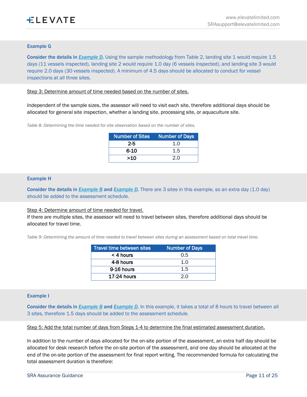#### Example G

Consider the details in **[Example D](#page-7-3)**. Using the sample methodology from Table 2, landing site 1 would require 1.5 days (11 vessels inspected), landing site 2 would require 1.0 day (6 vessels inspected), and landing site 3 would require 2.0 days (30 vessels inspected). A minimum of 4.5 days should be allocated to conduct for vessel inspections at all three sites.

Step 3: Determine amount of time needed based on the number of sites.

Independent of the sample sizes, the assessor will need to visit each site, therefore additional days should be allocated for general site inspection, whether a landing site, processing site, or aquaculture site.

*Table 8: Determining the time needed for site observation based on the number of sites.*

| <b>Number of Sites</b> | <b>Number of Days</b> |
|------------------------|-----------------------|
| 2-5                    | 1.O                   |
| 6-10                   | 1.5                   |
| >10                    | 2.0                   |

#### Example H

Consider the details in *[Example B](#page-6-1)* and *[Example D](#page-7-3)*. There are 3 sites in this example, so an extra day (1.0 day) should be added to the assessment schedule.

#### Step 4: Determine amount of time needed for travel.

If there are multiple sites, the assessor will need to travel between sites, therefore additional days should be allocated for travel time.

*Table 9: Determining the amount of time needed to travel between sites during an assessment based on total travel time.*

| Travel time between sites | <b>Number of Days</b> |
|---------------------------|-----------------------|
| $<$ 4 hours               | 0.5                   |
| 4-8 hours                 | 1.0                   |
| 9-16 hours                | 1.5                   |
| $17-24$ hours             | 2.0                   |

#### Example I

Consider the details in *[Example B](#page-6-1)* and *[Example D](#page-7-3)*. In this example, it takes a total of 8 hours to travel between all 3 sites, therefore 1.5 days should be added to the assessment schedule.

Step 5: Add the total number of days from Steps 1-4 to determine the final estimated assessment duration.

In addition to the number of days allocated for the on-site portion of the assessment, an extra half day should be allocated for desk research before the on-site portion of the assessment, and one day should be allocated at the end of the on-site portion of the assessment for final report writing. The recommended formula for calculating the total assessment duration is therefore: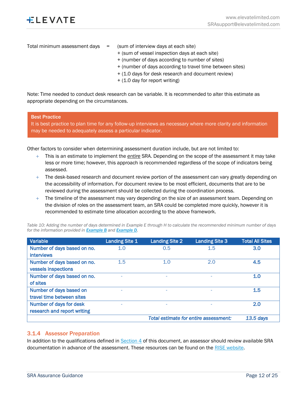- Total minimum assessment days  $=$  (sum of interview days at each site)
	- + (sum of vessel inspection days at each site)
	- + (number of days according to number of sites)
	- + (number of days according to travel time between sites)
	- + (1.0 days for desk research and document review)
	- + (1.0 day for report writing)

Note: Time needed to conduct desk research can be variable. It is recommended to alter this estimate as appropriate depending on the circumstances.

#### Best Practice

It is best practice to plan time for any follow-up interviews as necessary where more clarity and information may be needed to adequately assess a particular indicator.

Other factors to consider when determining assessment duration include, but are not limited to:

- + This is an estimate to implement the *entire* SRA. Depending on the scope of the assessment it may take less or more time; however, this approach is recommended regardless of the scope of indicators being assessed.
- $+$  The desk-based research and document review portion of the assessment can vary greatly depending on the accessibility of information. For document review to be most efficient, documents that are to be reviewed during the assessment should be collected during the coordination process.
- The timeline of the assessment may vary depending on the size of an assessment team. Depending on the division of roles on the assessment team, an SRA could be completed more quickly, however it is recommended to estimate time allocation according to the above framework.

| Variable                    | <b>Landing Site 1</b> | <b>Landing Site 2</b> | <b>Landing Site 3</b>                 | <b>Total All Sites</b> |
|-----------------------------|-----------------------|-----------------------|---------------------------------------|------------------------|
| Number of days based on no. | 1.0                   | 0.5                   | 1.5                                   | 3.0                    |
| <b>interviews</b>           |                       |                       |                                       |                        |
| Number of days based on no. | 1.5                   | 1.0                   | 2.0                                   | 4.5                    |
| vessels inspections         |                       |                       |                                       |                        |
| Number of days based on no. |                       |                       |                                       | 1.0                    |
| of sites                    |                       |                       |                                       |                        |
| Number of days based on     |                       |                       |                                       | 1.5                    |
| travel time between sites   |                       |                       |                                       |                        |
| Number of days for desk     | ۰                     | ۰                     | $\overline{\phantom{a}}$              | 2.0                    |
| research and report writing |                       |                       |                                       |                        |
|                             |                       |                       | Total estimate for entire assessment: | $13.5$ days            |

*Table 10: Adding the number of days determined in Example E through H to calculate the recommended minimum number of days for the information provided in [Example B](#page-6-1) and [Example D](#page-7-3).*

#### <span id="page-11-0"></span>3.1.4 Assessor Preparation

In addition to the qualifications defined i[n Section 4](#page-18-1) of this document, an assessor should review available SRA documentation in advance of the assessment. These resources can be found on the [RISE website.](https://riseseafood.org/topics/actioning-the-monterey-framework/)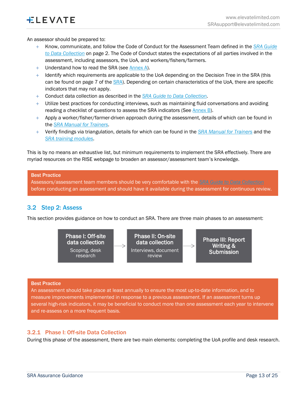An assessor should be prepared to:

- + Know, communicate, and follow the Code of Conduct for the Assessment Team defined in the *[SRA Guide](https://media.riseseafood.org/resources/SRAT_Guidance_20210317_FINAL.pdf)  [to Data Collection](https://media.riseseafood.org/resources/SRAT_Guidance_20210317_FINAL.pdf)* on page 2. The Code of Conduct states the expectations of all parties involved in the assessment, including assessors, the UoA, and workers/fishers/farmers.
- + Understand how to read the SRA (see [Annex A\)](#page-23-1).
- $+$  Identify which requirements are applicable to the UoA depending on the Decision Tree in the SRA (this can be found on page 7 of the [SRA\)](https://media.riseseafood.org/resources/SRAT_20210317_FINAL.pdf). Depending on certain characteristics of the UoA, there are specific indicators that may not apply.
- + Conduct data collection as described in the *[SRA Guide to Data Collection.](https://media.riseseafood.org/resources/SRAT_Guidance_20210317_FINAL.pdf)*
- $+$  Utilize best practices for conducting interviews, such as maintaining fluid conversations and avoiding reading a checklist of questions to assess the SRA indicators (See [Annex](#page-23-2) B).
- $+$  Apply a worker/fisher/farmer-driven approach during the assessment, details of which can be found in the *[SRA Manual for Trainers.](https://drive.google.com/file/d/1qzD9EaN36U79r0lBIJWsdJUVctoSKBpz/view)*
- + Verify findings via triangulation, details for which can be found in the *[SRA Manual for Trainers](https://drive.google.com/file/d/1qzD9EaN36U79r0lBIJWsdJUVctoSKBpz/view)* and the *[SRA training modules.](https://www.sramodulesonseafood.org/)*

This is by no means an exhaustive list, but minimum requirements to implement the SRA effectively. There are myriad resources on the RISE webpage to broaden an assessor/assessment team's knowledge.

#### Best Practice

Assessors/assessment team members should be very comfortable with the *[SRA Guide to Data Collection](https://media.riseseafood.org/resources/SRAT_Guidance_20210317_FINAL.pdf)* before conducting an assessment and should have it available during the assessment for continuous review.

# <span id="page-12-0"></span>3.2 Step 2: Assess

This section provides guidance on how to conduct an SRA. There are three main phases to an assessment:



#### Best Practice

An assessment should take place at least annually to ensure the most up-to-date information, and to measure improvements implemented in response to a previous assessment. If an assessment turns up several high-risk indicators, it may be beneficial to conduct more than one assessment each year to intervene and re-assess on a more frequent basis.

#### <span id="page-12-1"></span>3.2.1 Phase I: Off-site Data Collection

During this phase of the assessment, there are two main elements: completing the UoA profile and desk research.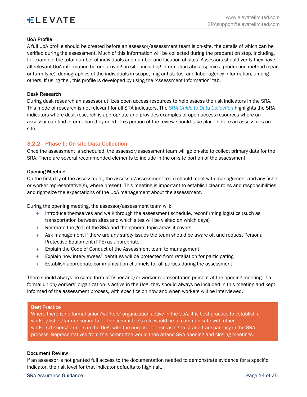#### UoA Profile

A full UoA profile should be created before an assessor/assessment team is on-site, the details of which can be verified during the assessment. Much of this information will be collected during the preparation step, including, for example, the total number of individuals and number and location of sites. Assessors should verify they have all relevant UoA information before arriving on-site, including information about species, production method (gear or farm type), demographics of the individuals in scope, migrant status, and labor agency information, among others. If using the , this profile is developed by using the 'Assessment Information' tab.

#### Desk Research

During desk research an assessor utilizes open access resources to help assess the risk indicators in the SRA. This mode of research is not relevant for all SRA indicators. The *[SRA Guide to Data Collection](https://media.riseseafood.org/resources/SRAT_Guidance_20210317_FINAL.pdf)* highlights the SRA indicators where desk research is appropriate and provides examples of open access resources where an assessor can find information they need. This portion of the review should take place before an assessor is onsite.

### <span id="page-13-0"></span>3.2.2 Phase II: On-site Data Collection

Once the assessment is scheduled, the assessor/assessment team will go on-site to collect primary data for the SRA. There are several recommended elements to include in the on-site portion of the assessment.

#### Opening Meeting

On the first day of the assessment, the assessor/assessment team should meet with management and any fisher or worker representative(s), where present. This meeting is important to establish clear roles and responsibilities, and right-size the expectations of the UoA management about the assessment.

During the opening meeting, the assessor/assessment team will:

- $+$  Introduce themselves and walk through the assessment schedule, reconfirming logistics (such as transportation between sites and which sites will be visited on which days)
- $+$  Reiterate the goal of the SRA and the general topic areas it covers
- + Ask management if there are any safety issues the team should be aware of, and request Personal Protective Equipment (PPE) as appropriate
- + Explain the Code of Conduct of the Assessment team to management
- $+$  Explain how interviewees' identities will be protected from retaliation for participating
- $+$  Establish appropriate communication channels for all parties during the assessment

There should always be some form of fisher and/or worker representation present at the opening meeting. If a formal union/workers' organization is active in the UoA, they should always be included in this meeting and kept informed of the assessment process, with specifics on how and when workers will be interviewed.

#### Best Practice

Where there is no formal union/workers' organization active in the UoA, it is best practice to establish a worker/fisher/farmer committee. The committee's role would be to communicate with other workers/fishers/farmers in the UoA, with the purpose of increasing trust and transparency in the SRA process. Representatives from this committee would then attend SRA opening and closing meetings.

#### Document Review

If an assessor is not granted full access to the documentation needed to demonstrate evidence for a specific indicator, the risk level for that indicator defaults to high risk.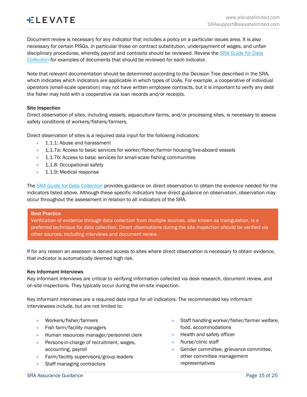Document review is necessary for any indicator that includes a policy on a particular issues area. It is also necessary for certain PISGs, in particular those on contract substitution, underpayment of wages, and unfair disciplinary procedures, whereby payroll and contracts should be reviewed. Review the *[SRA Guide for Data](https://media.riseseafood.org/resources/SRAT_Guidance_20210317_FINAL.pdf)  [Collection](https://media.riseseafood.org/resources/SRAT_Guidance_20210317_FINAL.pdf)* for examples of documents that should be reviewed for each indicator.

Note that relevant documentation should be determined according to the Decision Tree described in the SRA, which indicates which indicators are applicable in which types of UoAs. For example, a cooperative of individual operators (small-scale operation) may not have written employee contracts, but it is important to verify any debt the fisher may hold with a cooperative via loan records and/or receipts.

#### Site Inspection

Direct observation of sites, including vessels, aquaculture farms, and/or processing sites, is necessary to assess safety conditions of workers/fishers/farmers.

Direct observation of sites is a required data input for the following indicators:

- + 1.1.1: Abuse and harassment
- $+$  1.1.7a: Access to basic services for worker/fisher/farmer housing/live-aboard vessels
- + 1.1.7b: Access to basic services for small-scale fishing communities
- + 1.1.8: Occupational safety
- + 1.1.9: Medical response

The *[SRA Guide for Data Collection](https://media.riseseafood.org/resources/SRAT_Guidance_20210317_FINAL.pdf)* provides guidance on direct observation to obtain the evidence needed for the indicators listed above. Although these specific indicators have direct guidance on observation, observation may occur throughout the assessment in relation to all indicators of the SRA.

#### Best Practice

Verification of evidence through data collection from multiple sources, also known as triangulation, is a preferred technique for data collection. Direct observations during the site inspection should be verified via other sources, including interviews and document review.

If for any reason an assessor is denied access to sites where direct observation is necessary to obtain evidence, that indicator is automatically deemed high risk.

#### Key Informant Interviews

Key informant interviews are critical to verifying information collected via desk research, document review, and on-site inspections. They typically occur during the on-site inspection.

Key informant interviews are a required data input for all indicators. The recommended key informant interviewees include, but are not limited to:

- + Workers/fisher/farmers
- + Fish farm/facility managers
- + Human resources manager/personnel clerk
- + Persons-in-charge of recruitment, wages, accounting, payroll
- + Farm/facility supervisors/group leaders
- + Staff managing contractors
- + Staff handling worker/fisher/farmer welfare, food, accommodations
- + Health and safety officer
- + Nurse/clinic staff
- + Gender committee, grievance committee, other committee management representatives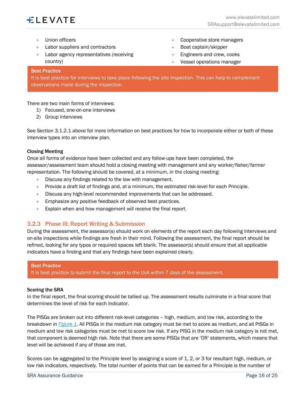- + Union officers
- + Labor suppliers and contractors
- + Labor agency representatives (receiving country)
- + Cooperative store managers
- + Boat captain/skipper
- + Engineers and crew, cooks
- + Vessel operations manager

#### Best Practice

It is best practice for interviews to take place following the site inspection. This can help to complement observations made during the inspection.

There are two main forms of interviews:

- 1) Focused, one-on-one interviews
- 2) Group interviews

See Section 3.1.2.1 above for more information on best practices for how to incorporate either or both of these interview types into an interview plan.

#### Closing Meeting

Once all forms of evidence have been collected and any follow-ups have been completed, the assessor/assessment team should hold a closing meeting with management and any worker/fisher/farmer representation. The following should be covered, at a minimum, in the closing meeting:

- + Discuss any findings related to the law with management.
- $+$  Provide a draft list of findings and, at a minimum, the estimated risk-level for each Principle.
- $+$  Discuss any high-level recommended improvements that can be addressed.
- + Emphasize any positive feedback of observed best practices.
- $+$  Explain when and how management will receive the final report.

#### <span id="page-15-0"></span>3.2.3 Phase III: Report Writing & Submission

During the assessment, the assessor(s) should work on elements of the report each day following interviews and on-site inspections while findings are fresh in their mind. Following the assessment, the final report should be refined, looking for any typos or required spaces left blank. The assessor(s) should ensure that all applicable indicators have a finding and that any findings have been explained clearly.

#### Best Practice

It is best practice to submit the final report to the UoA within 7 days of the assessment.

#### Scoring the SRA

In the final report, the final scoring should be tallied up. The assessment results culminate in a final score that determines the level of risk for each Indicator.

The PISGs are broken out into different risk-level categories – high, medium, and low risk, according to the breakdown in *[Figure 1](#page-17-0)*. All PISGs in the medium risk category must be met to score as medium, and all PISGs in medium and low risk categories must be met to score low risk. If any PISG in the medium risk category is not met, that component is deemed high risk. Note that there are some PISGs that are 'OR' statements, which means that level will be achieved if any of those are met.

Scores can be aggregated to the Principle level by assigning a score of 1, 2, or 3 for resultant high, medium, or low risk indicators, respectively. The total number of points that can be earned for a Principle is the number of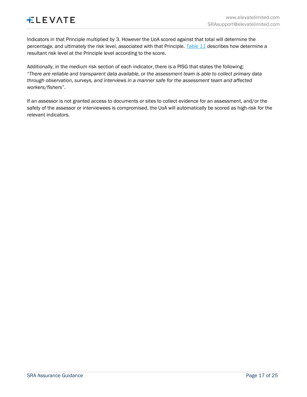Indicators in that Principle multiplied by 3. However the UoA scored against that total will determine the percentage, and ultimately the risk level, associated with that Principle. *[Table 11](#page-17-1)* describes how determine a resultant risk level at the Principle level according to the score.

Additionally, in the medium risk section of each indicator, there is a PISG that states the following: "*There are reliable and transparent data available, or the assessment team is able to collect primary data through observation, surveys, and interviews in a manner safe for the assessment team and affected workers/fishers*".

If an assessor is not granted access to documents or sites to collect evidence for an assessment, and/or the safety of the assessor or interviewees is compromised, the UoA will automatically be scored as high-risk for the relevant indicators.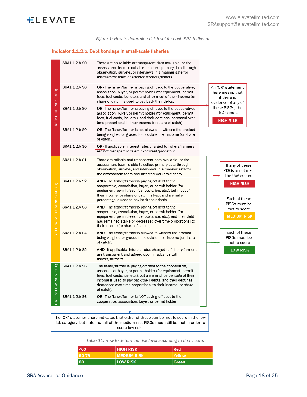*Figure 1: How to determine risk level for each SRA Indicator.*

#### <span id="page-17-0"></span>Indicator 1.1.2.b: Debt bondage in small-scale fisheries

|                             | SRA1.1.2.b SO                                                                                                                                                                    | There are no reliable or transparent data available, or the<br>assessment team is not able to collect primary data through<br>observation, surveys, or interviews in a manner safe for<br>assessment team or affected workers/fishers,                                                                                               |                                                                           |  |  |  |
|-----------------------------|----------------------------------------------------------------------------------------------------------------------------------------------------------------------------------|--------------------------------------------------------------------------------------------------------------------------------------------------------------------------------------------------------------------------------------------------------------------------------------------------------------------------------------|---------------------------------------------------------------------------|--|--|--|
| RED: HIGH RISK (<60)        | SRA1.1.2.b SO                                                                                                                                                                    | <b>OR</b> - The fisher/farmer is paying off debt to the cooperative,<br>association, buyer, or permit holder (for equipment, permit<br>fees, fuel costs, ice, etc.), and all or most of their income (or<br>share of catch) is used to pay back their debts,                                                                         | An 'OR' statement<br>here means that<br>if there is<br>evidence of any of |  |  |  |
|                             | SRA1.1.2.b SO                                                                                                                                                                    | <b>OR</b> - The fisher/farmer is paying off debt to the cooperative,<br>association, buyer, or permit holder (for equipment, permit<br>fees, fuel costs, ice, etc.), and their debt has increased over<br>time proportional to their income (or share of catch),                                                                     | these PISGs, the<br>UoA scores<br><b>HIGH RISK</b>                        |  |  |  |
|                             | SRA1.1.2.b SO                                                                                                                                                                    | <b>OR</b> - The fisher/farmer is not allowed to witness the product<br>being weighed or graded to calculate their income (or share<br>of catch),                                                                                                                                                                                     |                                                                           |  |  |  |
|                             | SRA1.1.2.b SO                                                                                                                                                                    | <b>OR</b> - If applicable, interest rates charged to fishers/farmers<br>are not transparent or are exorbitant/predatory.                                                                                                                                                                                                             |                                                                           |  |  |  |
|                             | SRA1.1.2.b S1                                                                                                                                                                    | There are reliable and transparent data available, or the<br>assessment team is able to collect primary data through<br>observation, surveys, and interviews in a manner safe for<br>the assessment team and affected workers/fishers,                                                                                               | If any of these<br>PISGs is not met.<br>the UoA scores                    |  |  |  |
| YELLOW: MEDIUM RISK (60-79) | SRA1.1.2.b S2                                                                                                                                                                    | AND - The fisher/farmer is paying off debt to the<br>cooperative, association, buyer, or permit holder (for<br>equipment, permit fees, fuel costs, ice, etc.), but most of<br>their income (or share of catch) is kept and a smaller<br>percentage is used to pay back their debts,                                                  | <b>HIGH RISK</b><br>Each of these                                         |  |  |  |
|                             | SRA1.1.2.b S3                                                                                                                                                                    | AND - The fisher/farmer is paying off debt to the<br>cooperative, association, buyer, or permit holder (for<br>equipment, permit fees, fuel costs, ice, etc.), and their debt<br>has remained stable or decreased over time proportional to<br>their income (or share of catch),                                                     | PISGs must be<br>met to score<br><b>MEDIUM RISK</b>                       |  |  |  |
|                             | SRA1.1.2.b S4                                                                                                                                                                    | AND - The fisher/farmer is allowed to witness the product<br>being weighed or graded to calculate their income (or share<br>of catch).                                                                                                                                                                                               | Each of these<br>PISGs must be<br>met to score                            |  |  |  |
|                             | SRA1.1.2.b S5                                                                                                                                                                    | AND - If applicable, interest rates charged to fishers/farmers<br>are transparent and agreed upon in advance with<br>fishers/farmers.                                                                                                                                                                                                | <b>LOW RISK</b>                                                           |  |  |  |
| RISK (80+)                  | SRA1.1.2.b S6                                                                                                                                                                    | The fisher/farmer is paying off debt to the cooperative,<br>association, buyer, or permit holder (for equipment, permit<br>fees, fuel costs, ice, etc.), but a minimal percentage of their<br>income is used to pay back their debts, and their debt has<br>decreased over time proportional to their income (or share<br>of catch), |                                                                           |  |  |  |
| GREEN: LOW                  | SRA1.1.2.b S6                                                                                                                                                                    | OR - The fisher/farmer is NOT paying off debt to the<br>cooperative, association, buyer, or permit holder.                                                                                                                                                                                                                           |                                                                           |  |  |  |
|                             |                                                                                                                                                                                  |                                                                                                                                                                                                                                                                                                                                      |                                                                           |  |  |  |
|                             | The 'OR' statement here indicates that either of these can be met to score in the low<br>risk category, but note that all of the medium risk PISGs must still be met in order to |                                                                                                                                                                                                                                                                                                                                      |                                                                           |  |  |  |

score low risk.

<span id="page-17-1"></span>*Table 11: How to determine risk-level according to final score.*

| <60   | <b>HIGH RISK</b>   | l Red   |
|-------|--------------------|---------|
| 60-79 | <b>MEDIUM RISK</b> | Yellow  |
| $80+$ | <b>LOW RISK</b>    | l Green |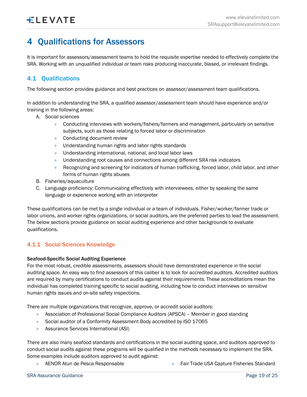# <span id="page-18-0"></span>4 Qualifications for Assessors

It is important for assessors/assessment teams to hold the requisite expertise needed to effectively complete the SRA. Working with an unqualified individual or team risks producing inaccurate, biased, or irrelevant findings.

# <span id="page-18-1"></span>4.1 Qualifications

The following section provides guidance and best practices on assessor/assessment team qualifications.

In addition to understanding the SRA, a qualified assessor/assessment team should have experience and/or training in the following areas:

- A. Social sciences
	- $+$  Conducting interviews with workers/fishers/farmers and management, particularly on sensitive subjects, such as those relating to forced labor or discrimination
	- + Conducting document review
	- + Understanding human rights and labor rights standards
	- + Understanding international, national, and local labor laws
	- + Understanding root causes and connections among different SRA risk indicators
	- + Recognizing and screening for indicators of human trafficking, forced labor, child labor, and other forms of human rights abuses
- B. Fisheries/aquaculture
- C. Language proficiency: Communicating effectively with interviewees, either by speaking the same language or experience working with an interpreter

These qualifications can be met by a single individual or a team of individuals. Fisher/worker/farmer trade or labor unions, and worker rights organizations, or social auditors, are the preferred parties to lead the assessment. The below sections provide guidance on social auditing experience and other backgrounds to evaluate qualifications.

### <span id="page-18-2"></span>4.1.1 Social Sciences Knowledge

#### Seafood-Specific Social Auditing Experience

For the most robust, credible assessments, assessors should have demonstrated experience in the social auditing space. An easy way to find assessors of this caliber is to look for accredited auditors. Accredited auditors are required by many certifications to conduct audits against their requirements. These accreditations mean the individual has completed training specific to social auditing, including how to conduct interviews on sensitive human rights issues and on-site safety inspections.

There are multiple organizations that recognize, approve, or accredit social auditors:

- + Association of Professional Social Compliance Auditors (APSCA) Member in good standing
- + Social auditor of a Conformity Assessment Body accredited by ISO 17065
- + Assurance Services International (ASI)

There are also many seafood standards and certifications in the social auditing space, and auditors approved to conduct social audits against these programs will be qualified in the methods necessary to implement the SRA. Some examples include auditors approved to audit against:

+ AENOR Atun de Pesca Responsable  $+$  Fair Trade USA Capture Fisheries Standard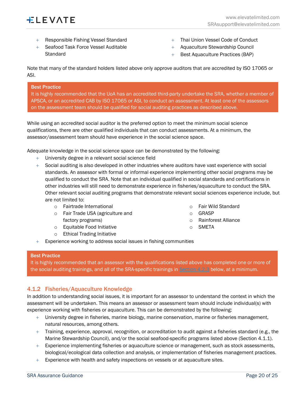

- + Responsible Fishing Vessel Standard
- + Seafood Task Force Vessel Auditable **Standard**
- + Thai Union Vessel Code of Conduct
- + Aquaculture Stewardship Council
- + Best Aquaculture Practices (BAP)

Note that many of the standard holders listed above only approve auditors that are accredited by ISO 17065 or ASI.

#### Best Practice

It is highly recommended that the UoA has an accredited third-party undertake the SRA, whether a member of APSCA, or an accredited CAB by ISO 17065 or ASI, to conduct an assessment. At least one of the assessors on the assessment team should be qualified for social auditing practices as described above.

While using an accredited social auditor is the preferred option to meet the minimum social science qualifications, there are other qualified individuals that can conduct assessments. At a minimum, the assessor/assessment team should have experience in the social science space.

Adequate knowledge in the social science space can be demonstrated by the following:

- + University degree in a relevant social science field
- $+$  Social auditing is also developed in other industries where auditors have vast experience with social standards. An assessor with formal or informal experience implementing other social programs may be qualified to conduct the SRA. Note that an individual qualified in social standards and certifications in other industries will still need to demonstrate experience in fisheries/aquaculture to conduct the SRA. Other relevant social auditing programs that demonstrate relevant social sciences experience include, but are not limited to:
	- o Fairtrade International
	- o Fair Trade USA (agriculture and factory programs)
	- o Equitable Food Initiative
	- o Ethical Trading Initiative
- o Fair Wild Standard
- o GRASP
- o Rainforest Alliance
- o SMETA
- $+$  Experience working to address social issues in fishing communities

#### Best Practice

It is highly recommended that an assessor with the qualifications listed above has completed one or more of the social auditing trainings, and all of the SRA-specific trainings in [Section 4.2.3](#page-21-0) below, at a minimum.

### <span id="page-19-0"></span>4.1.2 Fisheries/Aquaculture Knowledge

In addition to understanding social issues, it is important for an assessor to understand the context in which the assessment will be undertaken. This means an assessor or assessment team should include individual(s) with experience working with fisheries or aquaculture. This can be demonstrated by the following:

- $+$  University degree in fisheries, marine biology, marine conservation, marine or fisheries management, natural resources, among others.
- $+$  Training, experience, approval, recognition, or accreditation to audit against a fisheries standard (e.g., the Marine Stewardship Council), and/or the social seafood-specific programs listed above (Section 4.1.1).
- + Experience implementing fisheries or aquaculture science or management, such as stock assessments, biological/ecological data collection and analysis, or implementation of fisheries management practices.
- $+$  Experience with health and safety inspections on vessels or at aquaculture sites.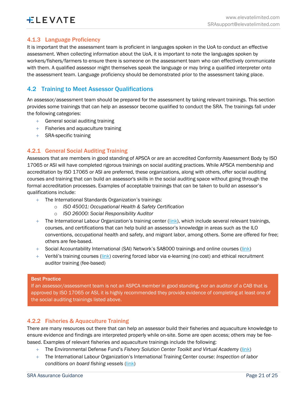# <span id="page-20-0"></span>4.1.3 Language Proficiency

It is important that the assessment team is proficient in languages spoken in the UoA to conduct an effective assessment. When collecting information about the UoA, it is important to note the languages spoken by workers/fishers/farmers to ensure there is someone on the assessment team who can effectively communicate with them. A qualified assessor might themselves speak the language or may bring a qualified interpreter onto the assessment team. Language proficiency should be demonstrated prior to the assessment taking place.

# <span id="page-20-1"></span>4.2 Training to Meet Assessor Qualifications

An assessor/assessment team should be prepared for the assessment by taking relevant trainings. This section provides some trainings that can help an assessor become qualified to conduct the SRA. The trainings fall under the following categories:

- + General social auditing training
- + Fisheries and aquaculture training
- + SRA-specific training

## <span id="page-20-2"></span>4.2.1 General Social Auditing Training

Assessors that are members in good standing of APSCA or are an accredited Conformity Assessment Body by ISO 17065 or ASI will have completed rigorous trainings on social auditing practices. While APSCA membership and accreditation by ISO 17065 or ASI are preferred, these organizations, along with others, offer social auditing courses and training that can build an assessor's skills in the social auditing space without going through the formal accreditation processes. Examples of acceptable trainings that can be taken to build an assessor's qualifications include:

- + The International Standards Organization's trainings:
	- o *ISO 45001: Occupational Health & Safety Certification*
	- o *ISO 26000: Social Responsibility Auditor*
- + The International Labour Organization's training center [\(link\)](https://www.itcilo.org/training), which include several relevant trainings, courses, and certifications that can help build an assessor's knowledge in areas such as the ILO conventions, occupational health and safety, and migrant labor, among others. Some are offered for free; others are fee-based.
- + Social Accountability International (SAI) Network's SA8000 trainings and online courses [\(link\)](https://sa-intl.org/services/training/)
- $+$  Verité's training courses ( $\overline{\text{link}}$ ) covering forced labor via e-learning (no cost) and ethical recruitment auditor training (fee-based)

#### Best Practice

If an assessor/assessment team is not an ASPCA member in good standing, nor an auditor of a CAB that is approved by ISO 17065 or ASI, it is highly recommended they provide evidence of completing at least one of the social auditing trainings listed above.

### <span id="page-20-3"></span>4.2.2 Fisheries & Aquaculture Training

There are many resources out there that can help an assessor build their fisheries and aquaculture knowledge to ensure evidence and findings are interpreted properly while on-site. Some are open access; others may be feebased. Examples of relevant fisheries and aquaculture trainings include the following:

- + The Environmental Defense Fund's *Fishery Solution Center Toolkit and Virtual Academy* [\(link\)](https://fisherysolutionscenter.edf.org/virtual-fisheries-academy)
- + The International Labour Organization's International Training Center course: *Inspection of labor conditions on board fishing vessels* [\(link\)](https://www.itcilo.org/courses/inspection-labour-conditions-board-fishing-vessels)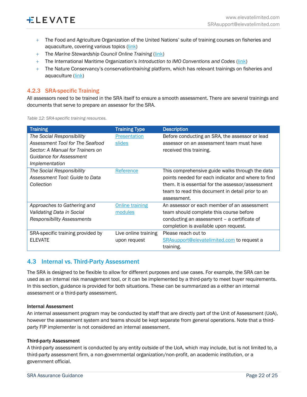- + The Food and Agriculture Organization of the United Nations' suite of training courses on fisheries and aquaculture, covering various topics [\(link\)](https://www.fao.org/fishery/en/topic/16922/en)
- + The *Marine Stewardship Council Online Training* [\(link\)](https://byglearning.co.uk/MAR-3612-LMS/Content/Login.aspx)
- + The International Maritime Organization's *Introduction to IMO Conventions and Codes* [\(link\)](https://alison.com/course/introduction-to-imo-conventions-and-codes)
- + The Nature Conservancy's *conservationtraining* platform, which has relevant trainings on fisheries and aquaculture [\(link\)](https://www.conservationtraining.org/index.php?redirect=0)

### <span id="page-21-0"></span>4.2.3 SRA-specific Training

All assessors need to be trained in the SRA itself to ensure a smooth assessment. There are several trainings and documents that serve to prepare an assessor for the SRA.

| <b>Training</b>                   | <b>Training Type</b>   | <b>Description</b>                                 |
|-----------------------------------|------------------------|----------------------------------------------------|
| The Social Responsibility         | <b>Presentation</b>    | Before conducting an SRA, the assessor or lead     |
| Assessment Tool for The Seafood   | slides                 | assessor on an assessment team must have           |
| Sector: A Manual for Trainers on  |                        | received this training.                            |
| Guidance for Assessment           |                        |                                                    |
| Implementation                    |                        |                                                    |
| The Social Responsibility         | Reference              | This comprehensive guide walks through the data    |
| Assessment Tool: Guide to Data    |                        | points needed for each indicator and where to find |
| Collection                        |                        | them. It is essential for the assessor/assessment  |
|                                   |                        | team to read this document in detail prior to an   |
|                                   |                        | assessment.                                        |
| Approaches to Gathering and       | <b>Online training</b> | An assessor or each member of an assessment        |
| Validating Data in Social         | modules                | team should complete this course before            |
| Responsibility Assessments        |                        | conducting an assessment – a certificate of        |
|                                   |                        | completion is available upon request.              |
| SRA-specific training provided by | Live online training   | Please reach out to                                |
| <b>ELEVATE</b>                    | upon request           | <b>SRAsupport@elevatelimited.com to request a</b>  |
|                                   |                        | training.                                          |

*Table 12: SRA-specific training resources.*

# <span id="page-21-1"></span>4.3 Internal vs. Third-Party Assessment

The SRA is designed to be flexible to allow for different purposes and use cases. For example, the SRA can be used as an internal risk management tool, or it can be implemented by a third-party to meet buyer requirements. In this section, guidance is provided for both situations. These can be summarized as a either an internal assessment or a third-party assessment.

#### Internal Assessment

An internal assessment program may be conducted by staff that are directly part of the Unit of Assessment (UoA), however the assessment system and teams should be kept separate from general operations. Note that a thirdparty FIP implementer is not considered an internal assessment.

#### Third-party Assessment

A third-party assessment is conducted by any entity outside of the UoA, which may include, but is not limited to, a third-party assessment firm, a non-governmental organization/non-profit, an academic institution, or a government officia[l.](#page-22-0)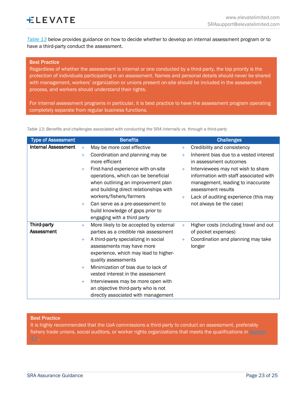*[Table](#page-22-0) 13* below provides guidance on how to decide whether to develop an internal assessment program or to have a third-party conduct the assessment.

#### Best Practice

Regardless of whether the assessment is internal or one conducted by a third-party, the top priority is the protection of individuals participating in an assessment. Names and personal details should never be shared with management, workers' organization or unions present on-site should be included in the assessment process, and workers should understand their rights.

For internal assessment programs in particular, it is best practice to have the assessment program operating completely separate from regular business functions.

<span id="page-22-0"></span>*Table 13: Benefits and challenges associated with conducting the SRA internally vs. through a third-party*

| <b>Type of Assessment</b>  |        | <b>Benefits</b>                        |     | <b>Challenges</b>                      |
|----------------------------|--------|----------------------------------------|-----|----------------------------------------|
| <b>Internal Assessment</b> | $+$    | May be more cost effective             | $+$ | Credibility and consistency            |
|                            | $\pm$  | Coordination and planning may be       | $+$ | Inherent bias due to a vested interest |
|                            |        | more efficient                         |     | in assessment outcomes                 |
|                            | $^{+}$ | First-hand experience with on-site     | $+$ | Interviewees may not wish to share     |
|                            |        | operations, which can be beneficial    |     | information with staff associated with |
|                            |        | when outlining an improvement plan     |     | management, leading to inaccurate      |
|                            |        | and building direct relationships with |     | assessment results                     |
|                            |        | workers/fishers/farmers                | $+$ | Lack of auditing experience (this may  |
|                            | $+$    | Can serve as a pre-assessment to       |     | not always be the case)                |
|                            |        | build knowledge of gaps prior to       |     |                                        |
|                            |        | engaging with a third party            |     |                                        |
| Third-party                | $\pm$  | More likely to be accepted by external | $+$ | Higher costs (including travel and out |
| Assessment                 |        | parties as a credible risk assessment  |     | of pocket expenses)                    |
|                            | $\pm$  | A third-party specializing in social   | $+$ | Coordination and planning may take     |
|                            |        | assessments may have more              |     | longer                                 |
|                            |        | experience, which may lead to higher-  |     |                                        |
|                            |        | quality assessments                    |     |                                        |
|                            | $\pm$  | Minimization of bias due to lack of    |     |                                        |
|                            |        | vested interest in the assessment      |     |                                        |
|                            | $^{+}$ | Interviewees may be more open with     |     |                                        |
|                            |        | an objective third-party who is not    |     |                                        |
|                            |        | directly associated with management    |     |                                        |

#### Best Practice

It is highly recommended that the UoA commissions a third-party to conduct an assessment, preferably fishery trade unions, social auditors, or worker rights organizations that meets the qualifications in Section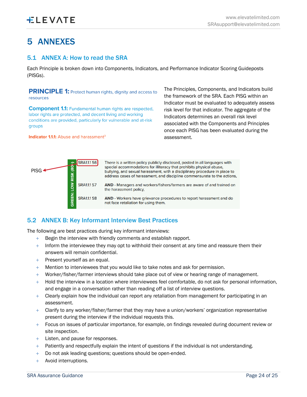# <span id="page-23-0"></span>5 ANNEXES

# <span id="page-23-1"></span>5.1 ANNEX A: How to read the SRA

Each Principle is broken down into Components, Indicators, and Performance Indicator Scoring Guideposts (PISGs).

**PRINCIPLE 1:** Protect human rights, dignity and access to resources

**Component 1.1:** Fundamental human rights are respected. labor rights are protected, and decent living and working conditions are provided, particularly for vulnerable and at-risk groups

**Indicator 1.1.1:** Abuse and harassment<sup>3</sup>

The Principles, Components, and Indicators build the framework of the SRA. Each PISG within an Indicator must be evaluated to adequately assess risk level for that indicator. The aggregate of the Indicators determines an overall risk level associated with the Components and Principles once each PISG has been evaluated during the assessment.



# <span id="page-23-2"></span>5.2 ANNEX B: Key Informant Interview Best Practices

The following are best practices during key informant interviews:

- Begin the interview with friendly comments and establish rapport.
- $+$  Inform the interviewee they may opt to withhold their consent at any time and reassure them their answers will remain confidential.
- + Present yourself as an equal.
- + Mention to interviewees that you would like to take notes and ask for permission.
- + Worker/fisher/farmer interviews should take place out of view or hearing range of management.
- + Hold the interview in a location where interviewees feel comfortable, do not ask for personal information, and engage in a conversation rather than reading off a list of interview questions.
- $+$  Clearly explain how the individual can report any retaliation from management for participating in an assessment.
- + Clarify to any worker/fisher/farmer that they may have a union/workers' organization representative present during the interview if the individual requests this.
- $+$  Focus on issues of particular importance, for example, on findings revealed during document review or site inspection.
- + Listen, and pause for responses.
- $+$  Patiently and respectfully explain the intent of questions if the individual is not understanding.
- + Do not ask leading questions; questions should be open-ended.
- + Avoid interruptions.